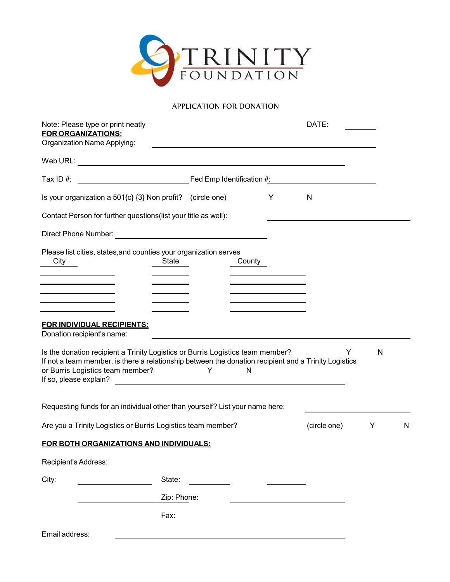

## APPLICATION FOR DONATION

| Note: Please type or print neatly<br><b>FOR ORGANIZATIONS:</b>                                                                                                                                                             |                   |        |                                                                                              | DATE:        |              |   |
|----------------------------------------------------------------------------------------------------------------------------------------------------------------------------------------------------------------------------|-------------------|--------|----------------------------------------------------------------------------------------------|--------------|--------------|---|
| Organization Name Applying:                                                                                                                                                                                                |                   |        |                                                                                              |              |              |   |
|                                                                                                                                                                                                                            |                   |        |                                                                                              |              |              |   |
| Tax ID $#$ :                                                                                                                                                                                                               |                   |        |                                                                                              |              |              |   |
| Is your organization a 501{c} {3} Non profit? (circle one)                                                                                                                                                                 |                   |        | Y                                                                                            | $\mathsf{N}$ |              |   |
| Contact Person for further questions(list your title as well):                                                                                                                                                             |                   |        |                                                                                              |              |              |   |
|                                                                                                                                                                                                                            |                   |        |                                                                                              |              |              |   |
| Please list cities, states, and counties your organization serves<br>City<br><b>State</b><br>the control of the control of the control of                                                                                  |                   | County | the control of the control of the control of                                                 |              |              |   |
| <u> 1989 - Johann Barn, mars ann an t-</u><br>the control of the control of the control of<br><b>FOR INDIVIDUAL RECIPIENTS:</b><br>Donation recipient's name:                                                              |                   |        | the control of the control of the control of<br>the control of the control of the control of |              |              |   |
| Is the donation recipient a Trinity Logistics or Burris Logistics team member?<br>If not a team member, is there a relationship between the donation recipient and a Trinity Logistics<br>or Burris Logistics team member? | <b>Example 19</b> | N      |                                                                                              | Y            | $\mathsf{N}$ |   |
| Requesting funds for an individual other than yourself? List your name here:                                                                                                                                               |                   |        |                                                                                              |              |              |   |
| Are you a Trinity Logistics or Burris Logistics team member?                                                                                                                                                               |                   |        |                                                                                              | (circle one) | Y            | N |
| FOR BOTH ORGANIZATIONS AND INDIVIDUALS:                                                                                                                                                                                    |                   |        |                                                                                              |              |              |   |
| Recipient's Address:                                                                                                                                                                                                       |                   |        |                                                                                              |              |              |   |
| State:<br>City:                                                                                                                                                                                                            |                   |        |                                                                                              |              |              |   |
|                                                                                                                                                                                                                            | Zip: Phone:       |        |                                                                                              |              |              |   |
| Fax:                                                                                                                                                                                                                       |                   |        |                                                                                              |              |              |   |
| Email address:                                                                                                                                                                                                             |                   |        |                                                                                              |              |              |   |